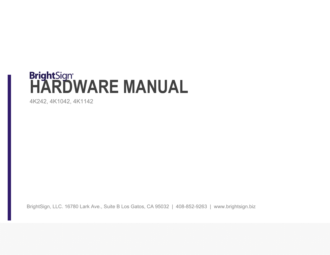# **BrightSign<sup>®</sup><br>HARDWARE MANUAL**

4K242, 4K1042, 4K1142

BrightSign, LLC. 16780 Lark Ave., Suite B Los Gatos, CA 95032 | 408-852-9263 | www.brightsign.biz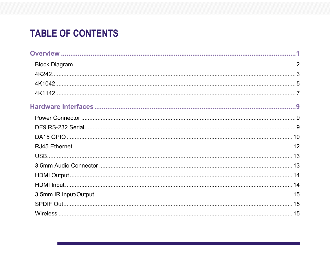# **TABLE OF CONTENTS**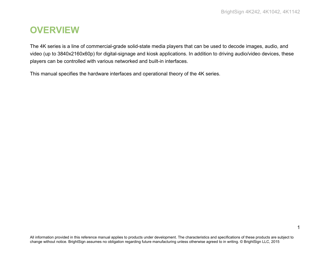# <span id="page-4-0"></span>**OVERVIEW**

The 4K series is a line of commercial-grade solid-state media players that can be used to decode images, audio, and video (up to 3840x2160x60p) for digital-signage and kiosk applications. In addition to driving audio/video devices, these players can be controlled with various networked and built-in interfaces.

This manual specifies the hardware interfaces and operational theory of the 4K series.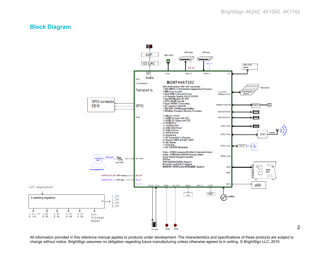# <span id="page-5-0"></span>**Block Diagram**

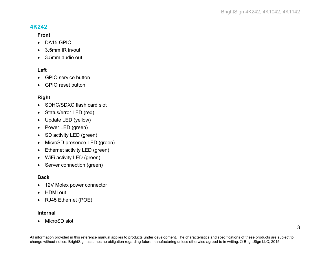# <span id="page-6-0"></span>**4K242**

#### **Front**

- DA15 GPIO
- 3.5mm IR in/out
- 3.5mm audio out

#### **Left**

- GPIO service button
- GPIO reset button

# **Right**

- SDHC/SDXC flash card slot
- Status/error LED (red)
- Update LED (yellow)
- Power LED (green)
- SD activity LED (green)
- MicroSD presence LED (green)
- Ethernet activity LED (green)
- WiFi activity LED (green)
- Server connection (green)

#### **Back**

- 12V Molex power connector
- HDMI out
- RJ45 Ethernet (POE)

#### **Internal**

• MicroSD slot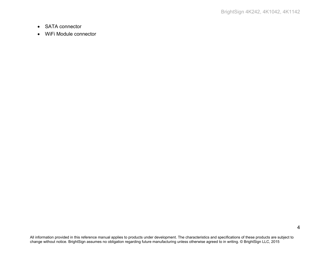- SATA connector
- WiFi Module connector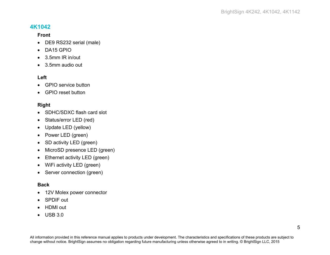# <span id="page-8-0"></span>**4K1042**

#### **Front**

- DE9 RS232 serial (male)
- DA15 GPIO
- 3.5mm IR in/out
- 3.5mm audio out

#### **Left**

- GPIO service button
- GPIO reset button

#### **Right**

- SDHC/SDXC flash card slot
- Status/error LED (red)
- Update LED (yellow)
- Power LED (green)
- SD activity LED (green)
- MicroSD presence LED (green)
- Ethernet activity LED (green)
- WiFi activity LED (green)
- Server connection (green)

# **Back**

- 12V Molex power connector
- SPDIF out
- HDMI out
- USB 3.0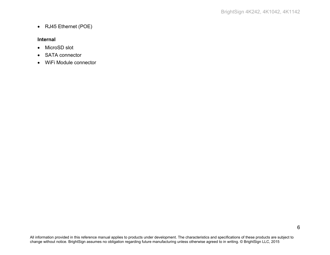• RJ45 Ethernet (POE)

#### **Internal**

- MicroSD slot
- SATA connector
- WiFi Module connector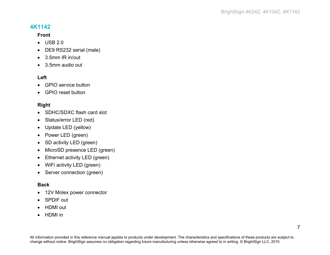# <span id="page-10-0"></span>**4K1142**

#### **Front**

- USB 2.0
- DE9 RS232 serial (male)
- 3.5mm IR in/out
- 3.5mm audio out

#### **Left**

- GPIO service button
- GPIO reset button

#### **Right**

- SDHC/SDXC flash card slot
- Status/error LED (red)
- Update LED (yellow)
- Power LED (green)
- SD activity LED (green)
- MicroSD presence LED (green)
- Ethernet activity LED (green)
- WiFi activity LED (green)
- Server connection (green)

#### **Back**

- 12V Molex power connector
- SPDIF out
- HDMI out
- HDMI in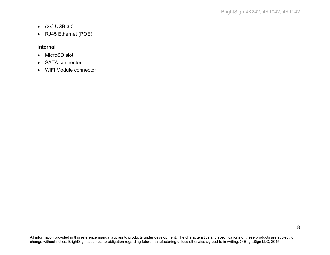- (2x) USB 3.0
- RJ45 Ethernet (POE)

#### **Internal**

- MicroSD slot
- SATA connector
- WiFi Module connector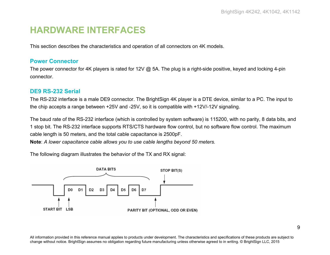# <span id="page-12-0"></span>**HARDWARE INTERFACES**

This section describes the characteristics and operation of all connectors on 4K models.

# <span id="page-12-1"></span>**Power Connector**

The power connector for 4K players is rated for 12V @ 5A. The plug is a right-side positive, keyed and locking 4-pin connector.

# <span id="page-12-2"></span>**DE9 RS-232 Serial**

The RS-232 interface is a male DE9 connector. The BrightSign 4K player is a DTE device, similar to a PC. The input to the chip accepts a range between +25V and -25V, so it is compatible with +12V/-12V signaling.

The baud rate of the RS-232 interface (which is controlled by system software) is 115200, with no parity, 8 data bits, and 1 stop bit. The RS-232 interface supports RTS/CTS hardware flow control, but no software flow control. The maximum cable length is 50 meters, and the total cable capacitance is 2500pF.

**Note**: *A lower capacitance cable allows you to use cable lengths beyond 50 meters.*

The following diagram illustrates the behavior of the TX and RX signal:

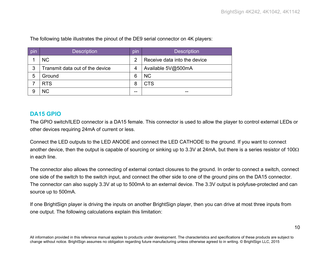| pin | <b>Description</b>              | pin            | <b>Description</b>           |
|-----|---------------------------------|----------------|------------------------------|
|     | <b>NC</b>                       | $\overline{2}$ | Receive data into the device |
| 3   | Transmit data out of the device | 4              | Available 5V@500mA           |
| 5   | Ground                          | 6              | <b>NC</b>                    |
|     | <b>RTS</b>                      | 8              | <b>CTS</b>                   |
| 9   | <b>NC</b>                       | --             | --                           |

The following table illustrates the pinout of the DE9 serial connector on 4K players:

# <span id="page-13-0"></span>**DA15 GPIO**

The GPIO switch/lLED connector is a DA15 female. This connector is used to allow the player to control external LEDs or other devices requiring 24mA of current or less.

Connect the LED outputs to the LED ANODE and connect the LED CATHODE to the ground. If you want to connect another device, then the output is capable of sourcing or sinking up to 3.3V at 24mA, but there is a series resistor of 100 $\Omega$ in each line.

The connector also allows the connecting of external contact closures to the ground. In order to connect a switch, connect one side of the switch to the switch input, and connect the other side to one of the ground pins on the DA15 connector. The connector can also supply 3.3V at up to 500mA to an external device. The 3.3V output is polyfuse-protected and can source up to 500mA.

If one BrightSign player is driving the inputs on another BrightSign player, then you can drive at most three inputs from one output. The following calculations explain this limitation: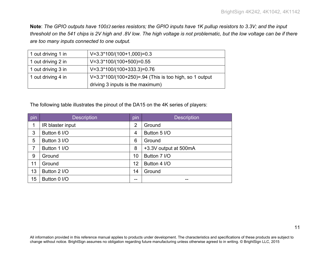**Note**: *The GPIO outputs have 100*<sup>Ω</sup> *series resistors; the GPIO inputs have 1K pullup resistors to 3.3V; and the input threshold on the 541 chips is 2V high and .8V low. The high voltage is not problematic, but the low voltage can be if there are too many inputs connected to one output.*

| 1 out driving 1 in | $V=3.3*100/(100+1,000)=0.3$                            |
|--------------------|--------------------------------------------------------|
| 1 out driving 2 in | $V=3.3*100/(100+500)=0.55$                             |
| 1 out driving 3 in | $V=3.3*100/(100+333.3)=0.76$                           |
| 1 out driving 4 in | V=3.3*100/(100+250)=.94 (This is too high, so 1 output |
|                    | driving 3 inputs is the maximum)                       |

The following table illustrates the pinout of the DA15 on the 4K series of players:

| pin | <b>Description</b> | pin            | <b>Description</b>    |
|-----|--------------------|----------------|-----------------------|
| 1   | IR blaster input   | $\overline{2}$ | Ground                |
| 3   | Button 6 I/O       | $\overline{4}$ | Button 5 I/O          |
| 5   | Button 3 I/O       | 6              | Ground                |
| 7   | Button 1 I/O       | 8              | +3.3V output at 500mA |
| 9   | Ground             | 10             | Button 7 I/O          |
| 11  | Ground             | 12             | Button 4 I/O          |
| 13  | Button 2 I/O       | 14             | Ground                |
| 15  | Button 0 I/O       | --             | --                    |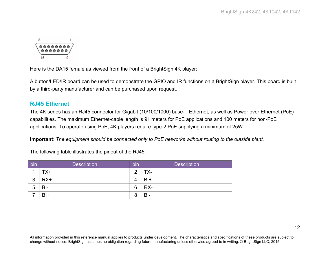

Here is the DA15 female as viewed from the front of a BrightSign 4K player:

A button/LED/IR board can be used to demonstrate the GPIO and IR functions on a BrightSign player. This board is built by a third-party manufacturer and can be purchased upon request.

# <span id="page-15-0"></span>**RJ45 Ethernet**

The 4K series has an RJ45 connector for Gigabit (10/100/1000) base-T Ethernet, as well as Power over Ethernet (PoE) capabilities. The maximum Ethernet-cable length is 91 meters for PoE applications and 100 meters for non-PoE applications. To operate using PoE, 4K players require type-2 PoE supplying a minimum of 25W.

**Important**: *The equipment should be connected only to PoE networks without routing to the outside plant.*

|  | The following table illustrates the pinout of the RJ45: |
|--|---------------------------------------------------------|
|--|---------------------------------------------------------|

| pin | <b>Description</b> | . .<br>pin | <b>Description</b> |
|-----|--------------------|------------|--------------------|
|     | TX+                | റ          | ТХ-                |
| 3   | $RX+$              |            | $BI+$              |
| 5   | $B-I$              | 6          | RX-                |
|     | $B+$               | 8          | $BI -$             |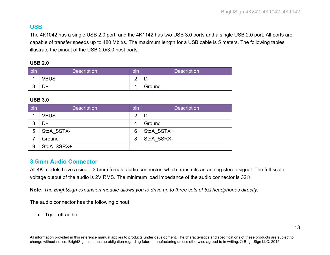# <span id="page-16-0"></span>**USB**

The 4K1042 has a single USB 2.0 port, and the 4K1142 has two USB 3.0 ports and a single USB 2.0 port. All ports are capable of transfer speeds up to 480 Mbit/s. The maximum length for a USB cable is 5 meters. The following tables illustrate the pinout of the USB 2.0/3.0 host ports:

#### **USB 2.0**

| <b>pin</b> | <b>Description</b> | pın    | <b>Description</b> |
|------------|--------------------|--------|--------------------|
|            | VBUS               | ⌒<br>- | —                  |
| ັ          | D+                 | Δ      | Ground             |

#### **USB 3.0**

| pin | <b>Description</b> | pin            | <b>Description</b> |
|-----|--------------------|----------------|--------------------|
|     | <b>VBUS</b>        | っ              | D-                 |
| 3   | D+                 | $\overline{4}$ | Ground             |
| 5   | StdA SSTX-         | 6              | StdA SSTX+         |
|     | Ground             | 8              | StdA SSRX-         |
| 9   | StdA SSRX+         |                |                    |

# <span id="page-16-1"></span>**3.5mm Audio Connector**

All 4K models have a single 3.5mm female audio connector, which transmits an analog stereo signal. The full-scale voltage output of the audio is 2V RMS. The minimum load impedance of the audio connector is 32Ω.

**Note**: *The BrightSign expansion module allows you to drive up to three sets of 5*<sup>Ω</sup> *headphones directly.*

The audio connector has the following pinout:

• **Tip**: Left audio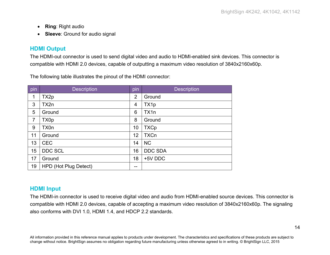- **Ring**: Right audio
- **Sleeve**: Ground for audio signal

# <span id="page-17-0"></span>**HDMI Output**

The HDMI-out connector is used to send digital video and audio to HDMI-enabled sink devices. This connector is compatible with HDMI 2.0 devices, capable of outputting a maximum video resolution of 3840x2160x60p.

The following table illustrates the pinout of the HDMI connector:

| pin            | <b>Description</b>    | pin            | <b>Description</b> |
|----------------|-----------------------|----------------|--------------------|
| 1              | TX2p                  | $\overline{2}$ | Ground             |
| 3              | TX2n                  | 4              | TX1p               |
| 5              | Ground                | 6              | TX1n               |
| $\overline{7}$ | TX0p                  | 8              | Ground             |
| 9              | TX0n                  | 10             | <b>TXCp</b>        |
| 11             | Ground                | 12             | <b>TXCn</b>        |
| 13             | <b>CEC</b>            | 14             | <b>NC</b>          |
| 15             | <b>DDC SCL</b>        | 16             | <b>DDC SDA</b>     |
| 17             | Ground                | 18             | +5V DDC            |
| 19             | HPD (Hot Plug Detect) | --             |                    |

# <span id="page-17-1"></span>**HDMI Input**

The HDMI-in connector is used to receive digital video and audio from HDMI-enabled source devices. This connector is compatible with HDMI 2.0 devices, capable of accepting a maximum video resolution of 3840x2160x60p. The signaling also conforms with DVI 1.0, HDMI 1.4, and HDCP 2.2 standards.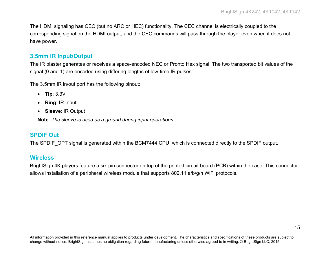The HDMI signaling has CEC (but no ARC or HEC) functionality. The CEC channel is electrically coupled to the corresponding signal on the HDMI output, and the CEC commands will pass through the player even when it does not have power.

# <span id="page-18-0"></span>**3.5mm IR Input/Output**

The IR blaster generates or receives a space-encoded NEC or Pronto Hex signal. The two transported bit values of the signal (0 and 1) are encoded using differing lengths of low-time IR pulses.

The 3.5mm IR in/out port has the following pinout:

- **Tip**: 3.3V
- **Ring**: IR Input
- **Sleeve**: IR Output

**Note**: *The sleeve is used as a ground during input operations.*

# <span id="page-18-1"></span>**SPDIF Out**

The SPDIF OPT signal is generated within the BCM7444 CPU, which is connected directly to the SPDIF output.

# <span id="page-18-2"></span>**Wireless**

BrightSign 4K players feature a six-pin connector on top of the printed circuit board (PCB) within the case. This connector allows installation of a peripheral wireless module that supports 802.11 a/b/g/n WiFi protocols.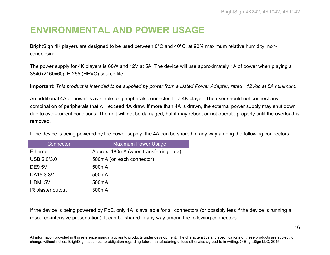# <span id="page-19-0"></span>**ENVIRONMENTAL AND POWER USAGE**

BrightSign 4K players are designed to be used between 0°C and 40°C, at 90% maximum relative humidity, noncondensing.

The power supply for 4K players is 60W and 12V at 5A. The device will use approximately 1A of power when playing a 3840x2160x60p H.265 (HEVC) source file.

**Important**: *This product is intended to be supplied by power from a Listed Power Adapter, rated +12Vdc at 5A minimum.*

An additional 4A of power is available for peripherals connected to a 4K player. The user should not connect any combination of peripherals that will exceed 4A draw. If more than 4A is drawn, the external power supply may shut down due to over-current conditions. The unit will not be damaged, but it may reboot or not operate properly until the overload is removed.

If the device is being powered by the power supply, the 4A can be shared in any way among the following connectors:

| Connector          | <b>Maximum Power Usage</b>             |
|--------------------|----------------------------------------|
| Ethernet           | Approx. 180mA (when transferring data) |
| <b>USB 2.0/3.0</b> | 500mA (on each connector)              |
| <b>DE9 5V</b>      | 500 <sub>m</sub> A                     |
| DA15 3.3V          | 500 <sub>m</sub> A                     |
| <b>HDMI 5V</b>     | 500 <sub>m</sub> A                     |
| IR blaster output  | 300 <sub>m</sub> A                     |

If the device is being powered by PoE, only 1A is available for all connectors (or possibly less if the device is running a resource-intensive presentation). It can be shared in any way among the following connectors: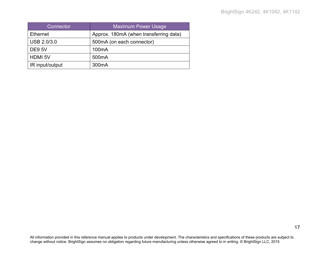| Connector       | <b>Maximum Power Usage</b>             |
|-----------------|----------------------------------------|
| <b>Ethernet</b> | Approx. 180mA (when transferring data) |
| USB 2.0/3.0     | 500mA (on each connector)              |
| <b>DE9 5V</b>   | 100 <sub>m</sub> A                     |
| <b>HDMI 5V</b>  | 500 <sub>m</sub> A                     |
| IR input/output | 300 <sub>m</sub> A                     |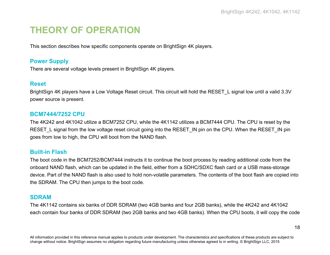# <span id="page-21-0"></span>**THEORY OF OPERATION**

This section describes how specific components operate on BrightSign 4K players.

# <span id="page-21-1"></span>**Power Supply**

There are several voltage levels present in BrightSign 4K players.

#### <span id="page-21-2"></span>**Reset**

BrightSign 4K players have a Low Voltage Reset circuit. This circuit will hold the RESET L signal low until a valid 3.3V power source is present.

#### <span id="page-21-3"></span>**BCM7444/7252 CPU**

The 4K242 and 4K1042 utilize a BCM7252 CPU, while the 4K1142 utilizes a BCM7444 CPU. The CPU is reset by the RESET L signal from the low voltage reset circuit going into the RESET IN pin on the CPU. When the RESET IN pin goes from low to high, the CPU will boot from the NAND flash.

# <span id="page-21-4"></span>**Built-in Flash**

The boot code in the BCM7252/BCM7444 instructs it to continue the boot process by reading additional code from the onboard NAND flash, which can be updated in the field, either from a SDHC/SDXC flash card or a USB mass-storage device. Part of the NAND flash is also used to hold non-volatile parameters. The contents of the boot flash are copied into the SDRAM. The CPU then jumps to the boot code.

#### <span id="page-21-5"></span>**SDRAM**

The 4K1142 contains six banks of DDR SDRAM (two 4GB banks and four 2GB banks), while the 4K242 and 4K1042 each contain four banks of DDR SDRAM (two 2GB banks and two 4GB banks). When the CPU boots, it will copy the code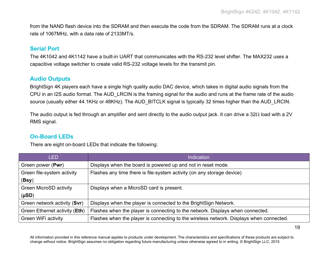from the NAND flash device into the SDRAM and then execute the code from the SDRAM. The SDRAM runs at a clock rate of 1067MHz, with a data rate of 2133MT/s.

# <span id="page-22-0"></span>**Serial Port**

The 4K1042 and 4K1142 have a built-in UART that communicates with the RS-232 level shifter. The MAX232 uses a capacitive voltage switcher to create valid RS-232 voltage levels for the transmit pin.

# <span id="page-22-1"></span>**Audio Outputs**

BrightSign 4K players each have a single high quality audio DAC device, which takes in digital audio signals from the CPU in an I2S audio format. The AUD\_LRCIN is the framing signal for the audio and runs at the frame rate of the audio source (usually either 44.1KHz or 48KHz). The AUD\_BITCLK signal is typically 32 times higher than the AUD\_LRCIN.

The audio output is fed through an amplifier and sent directly to the audio output jack. It can drive a 32Ω load with a 2V RMS signal.

# <span id="page-22-2"></span>**On-Board LEDs**

There are eight on-board LEDs that indicate the following:

| <b>LED</b>                    | <b>Indication</b>                                                                       |
|-------------------------------|-----------------------------------------------------------------------------------------|
| Green power (Pwr)             | Displays when the board is powered up and not in reset mode.                            |
| Green file-system activity    | Flashes any time there is file-system activity (on any storage device)                  |
| (Bsy)                         |                                                                                         |
| <b>Green MicroSD activity</b> | Displays when a MicroSD card is present.                                                |
| $(\mu SD)$                    |                                                                                         |
| Green network activity (Svr)  | Displays when the player is connected to the BrightSign Network.                        |
| Green Ethernet activity (Eth) | Flashes when the player is connecting to the network. Displays when connected.          |
| Green WiFi activity           | Flashes when the player is connecting to the wireless network. Displays when connected. |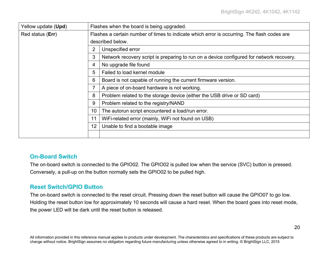| Yellow update (Upd) | Flashes when the board is being upgraded. |                                                                                             |  |  |
|---------------------|-------------------------------------------|---------------------------------------------------------------------------------------------|--|--|
| Red status (Err)    |                                           | Flashes a certain number of times to indicate which error is occurring. The flash codes are |  |  |
|                     |                                           | described below.                                                                            |  |  |
|                     | $\overline{2}$                            | Unspecified error                                                                           |  |  |
|                     | 3                                         | Network recovery script is preparing to run on a device configured for network recovery.    |  |  |
|                     | 4                                         | No upgrade file found                                                                       |  |  |
|                     | 5                                         | Failed to load kernel module                                                                |  |  |
|                     | 6                                         | Board is not capable of running the current firmware version.                               |  |  |
|                     |                                           | A piece of on-board hardware is not working.                                                |  |  |
|                     | 8                                         | Problem related to the storage device (either the USB drive or SD card)                     |  |  |
|                     | 9                                         | Problem related to the registry/NAND                                                        |  |  |
|                     | 10                                        | The autorun script encountered a load/run error.                                            |  |  |
|                     | 11                                        | WiFi-related error (mainly, WiFi not found on USB)                                          |  |  |
|                     | 12                                        | Unable to find a bootable image                                                             |  |  |
|                     |                                           |                                                                                             |  |  |

#### <span id="page-23-0"></span>**On-Board Switch**

The on-board switch is connected to the GPIO02. The GPIO02 is pulled low when the service (SVC) button is pressed. Conversely, a pull-up on the button normally sets the GPIO02 to be pulled high.

#### <span id="page-23-1"></span>**Reset Switch/GPIO Button**

The on-board switch is connected to the reset circuit. Pressing down the reset button will cause the GPIO07 to go low. Holding the reset button low for approximately 10 seconds will cause a hard reset. When the board goes into reset mode, the power LED will be dark until the reset button is released.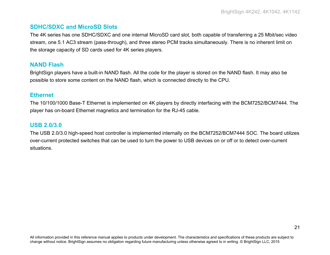# <span id="page-24-0"></span>**SDHC/SDXC and MicroSD Slots**

The 4K series has one SDHC/SDXC and one internal MicroSD card slot, both capable of transferring a 25 Mbit/sec video stream, one 5.1 AC3 stream (pass-through), and three stereo PCM tracks simultaneously. There is no inherent limit on the storage capacity of SD cards used for 4K series players.

# <span id="page-24-1"></span>**NAND Flash**

BrightSign players have a built-in NAND flash. All the code for the player is stored on the NAND flash. It may also be possible to store some content on the NAND flash, which is connected directly to the CPU.

# <span id="page-24-2"></span>**Ethernet**

The 10/100/1000 Base-T Ethernet is implemented on 4K players by directly interfacing with the BCM7252/BCM7444. The player has on-board Ethernet magnetics and termination for the RJ-45 cable.

# <span id="page-24-3"></span>**USB 2.0/3.0**

The USB 2.0/3.0 high-speed host controller is implemented internally on the BCM7252/BCM7444 SOC. The board utilizes over-current protected switches that can be used to turn the power to USB devices on or off or to detect over-current situations.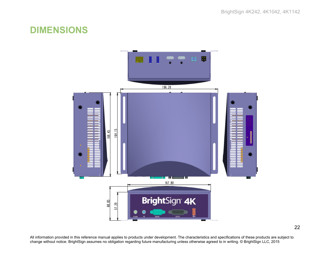# <span id="page-25-0"></span>**DIMENSIONS**